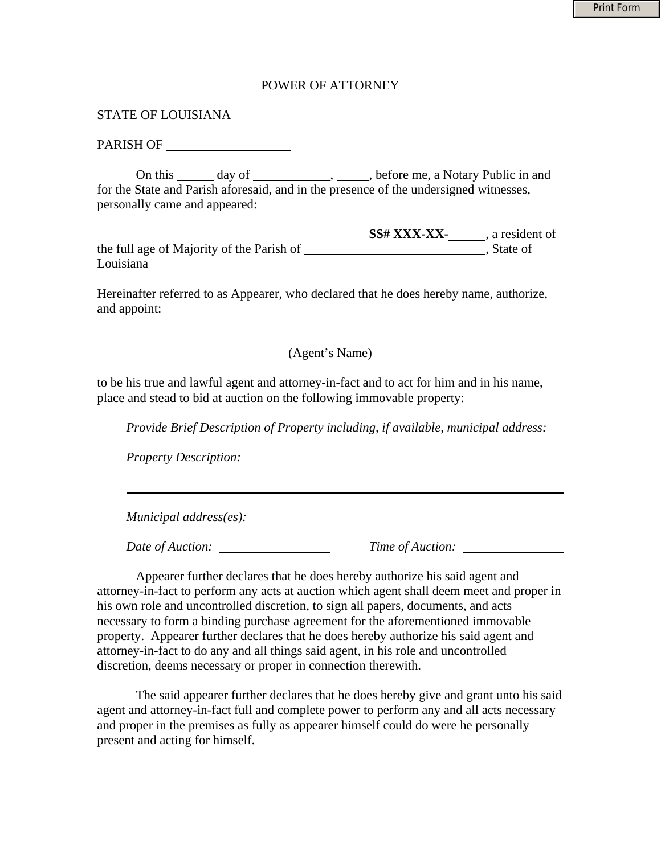## POWER OF ATTORNEY

## STATE OF LOUISIANA

## PARISH OF

 On this day of , , before me, a Notary Public in and for the State and Parish aforesaid, and in the presence of the undersigned witnesses, personally came and appeared:

**SS# XXX-XX-** , a resident of the full age of Majority of the Parish of  $\overline{\phantom{a}}$ , State of Louisiana

Hereinafter referred to as Appearer, who declared that he does hereby name, authorize, and appoint:

(Agent's Name)

to be his true and lawful agent and attorney-in-fact and to act for him and in his name, place and stead to bid at auction on the following immovable property:

*Provide Brief Description of Property including, if available, municipal address:* 

*Property Description:* 

 $\overline{a}$ 

*Municipal address(es):* 

*Date of Auction: Time of Auction:* 

 Appearer further declares that he does hereby authorize his said agent and attorney-in-fact to perform any acts at auction which agent shall deem meet and proper in his own role and uncontrolled discretion, to sign all papers, documents, and acts necessary to form a binding purchase agreement for the aforementioned immovable property. Appearer further declares that he does hereby authorize his said agent and attorney-in-fact to do any and all things said agent, in his role and uncontrolled discretion, deems necessary or proper in connection therewith.

 The said appearer further declares that he does hereby give and grant unto his said agent and attorney-in-fact full and complete power to perform any and all acts necessary and proper in the premises as fully as appearer himself could do were he personally present and acting for himself.